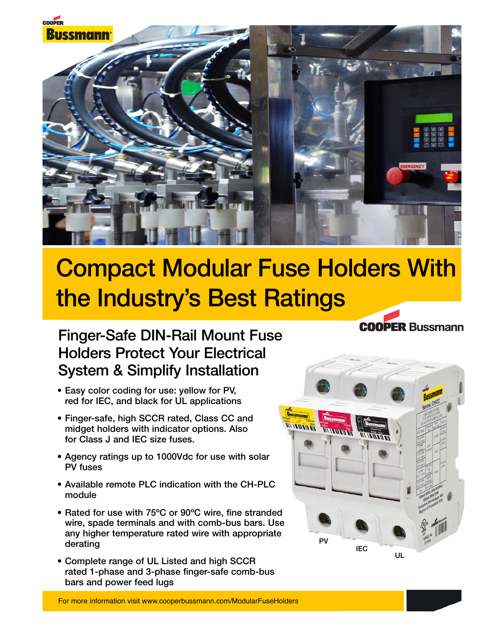

# **Compact Modular Fuse Holders With the Industry's Best Ratings**

## **Finger-Safe DIN-Rail Mount Fuse Holders Protect Your Electrical System & Simplify Installation**

- **Easy color coding for use: yellow for PV, red for IEC, and black for UL applications**
- **Finger-safe, high SCCR rated, Class CC and midget holders with indicator options. Also for Class J and IEC size fuses.**
- **Agency ratings up to 1000Vdc for use with solar PV fuses**
- **Available remote PLC indication with the CH-PLC module**
- **Rated for use with 75ºC or 90ºC wire, fine stranded wire, spade terminals and with comb-bus bars. Use any higher temperature rated wire with appropriate derating**
- **Complete range of UL Listed and high SCCR rated 1-phase and 3-phase finger-safe comb-bus bars and power feed lugs**



**COOPER Bussmann**